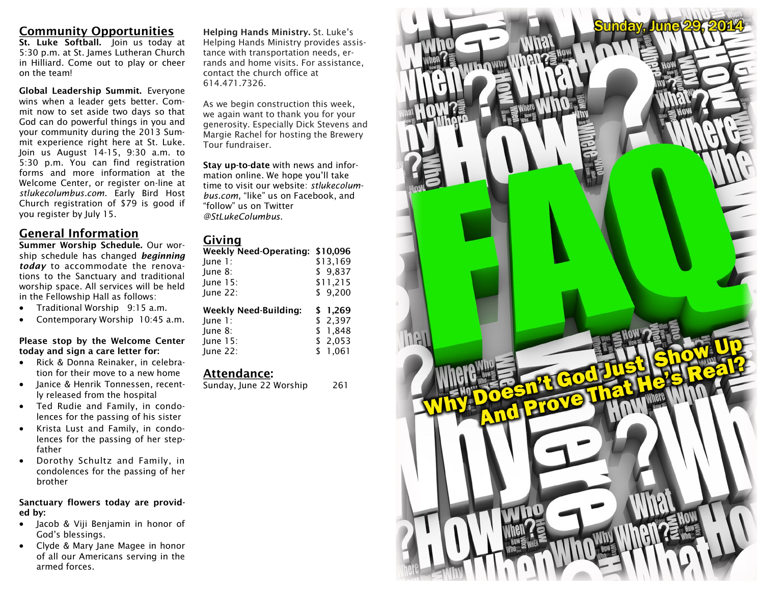## **Community Opportunities**

**St. Luke Softball.** Join us today at 5:30 p.m. at St. James Lutheran Church in Hilliard. Come out to play or cheer on the team!

**Global Leadership Summit.** Everyone wins when a leader gets better. Commit now to set aside two days so that God can do powerful things in you and your community during the 2013 Summit experience right here at St. Luke. Join us August 14-15, 9:30 a.m. to 5:30 p.m. You can find registration forms and more information at the Welcome Center, or register on-line at *stlukecolumbus.com*. Early Bird Host Church registration of \$79 is good if you register by July 15.

## **General Information**

**Summer Worship Schedule.** Our worship schedule has changed *beginning today* to accommodate the renovations to the Sanctuary and traditional worship space. All services will be held in the Fellowship Hall as follows:

- Traditional Worship 9:15 a.m.
- Contemporary Worship 10:45 a.m.

#### **Please stop by the Welcome Center today and sign a care letter for:**

- Rick & Donna Reinaker, in celebration for their move to a new home
- Janice & Henrik Tonnessen, recently released from the hospital
- Ted Rudie and Family, in condolences for the passing of his sister
- Krista Lust and Family, in condolences for the passing of her stepfather
- Dorothy Schultz and Family, in condolences for the passing of her brother

**Sanctuary flowers today are provided by:** 

- Jacob & Viji Benjamin in honor of God's blessings.
- Clyde & Mary Jane Magee in honor of all our Americans serving in the armed forces.

**Helping Hands Ministry.** St. Luke's Helping Hands Ministry provides assistance with transportation needs, errands and home visits. For assistance, contact the church office at 614.471.7326.

As we begin construction this week, we again want to thank you for your generosity. Especially Dick Stevens and Margie Rachel for hosting the Brewery Tour fundraiser.

**Stay up-to-date** with news and information online. We hope you'll take time to visit our website: *stlukecolumbus.com*, "like" us on Facebook, and "follow" us on Twitter *@StLukeColumbus*.

### **Giving**

| Weekly Need-Operating: \$10,096 |          |
|---------------------------------|----------|
| June 1:                         | \$13,169 |
| June 8:                         | \$9,837  |
| <b>lune 15:</b>                 | \$11,215 |
| June 22:                        | \$9.200  |
|                                 |          |
| <b>Weekly Need-Building:</b>    | \$ 1,269 |
| $lune$ 1:                       | \$2,397  |
| lune 8:                         | \$1.848  |
| <b>lune 15:</b>                 | \$2,053  |

## **Attendance:**

Sunday, June 22 Worship 261